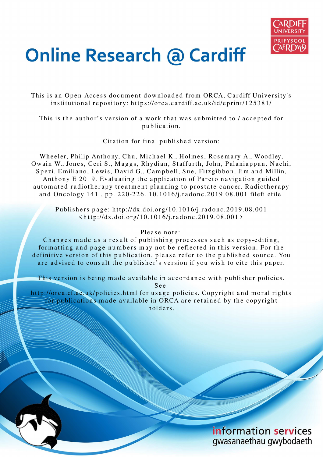

# **Online Research @ Cardiff**

This is an Open Access document downloaded from ORCA, Cardiff University's institutional repository: https://orca.cardiff.ac.uk/id/eprint/125381/

This is the author's version of a work that was submitted to / accepted for p u blication.

Citation for final published version:

Wheeler, Philip Anthony, Chu, Michael K., Holmes, Rosemary A., Woodley, Owain W., Jones, Ceri S., Maggs, Rhydian, Staffurth, John, Palaniappan, Nachi, Spezi, Emiliano, Lewis, David G., Campbell, Sue, Fitzgibbon, Jim and Millin, Anthony E 2019. Evaluating the application of Pareto navigation guided automated radiotherapy treatment planning to prostate cancer. Radiotherapy and Oncology 141, pp. 220-226. 10.1016/j.radonc.2019.08.001 filefilefile

Publishers page: http://dx.doi.org/10.1016/j.radonc.2019.08.001  $\langle \text{http://dx.doi.org/10.1016/j.radone.2019.08.001>}$ 

# Please note:

Changes made as a result of publishing processes such as copy-editing, formatting and page numbers may not be reflected in this version. For the definitive version of this publication, please refer to the published source. You are advised to consult the publisher's version if you wish to cite this paper.

This version is being made available in accordance with publisher policies. S e e

http://orca.cf.ac.uk/policies.html for usage policies. Copyright and moral rights for publications made available in ORCA are retained by the copyright holders.

> information services gwasanaethau gwybodaeth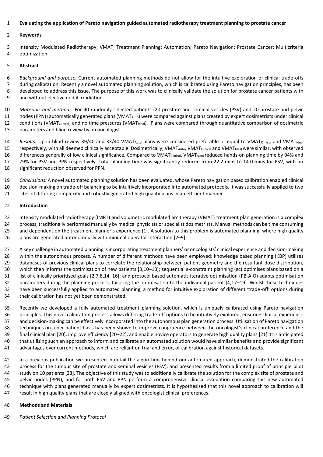## **Evaluating the application of Pareto navigation guided automated radiotherapy treatment planning to prostate cancer**

#### **Keywords**

3 Intensity Modulated Radiotherapy; VMAT; Treatment Planning; Automation; Pareto Navigation; Prostate Cancer; Multicriteria 4 optimization

#### **Abstract**

*Background and purpose:* Current automated planning methods do not allow for the intuitive exploration of clinical trade-offs 7 during calibration. Recently a novel automated planning solution, which is calibrated using Pareto navigation principles, has been 8 developed to address this issue. The purpose of this work was to clinically validate the solution for prostate cancer patients with 9 and without elective nodal irradiation.

 *Materials and methods:* For 40 randomly selected patients (20 prostate and seminal vesicles (PSV) and 20 prostate and pelvic 11 nodes (PPN)) automatically generated plans (VMAT<sub>Auto</sub>) were compared against plans created by expert dosimetrists under clinical 12 conditions (VMAT<sub>Clinical</sub>) and no time pressures (VMAT<sub>Ideal</sub>). Plans were compared through quantitative comparison of dosimetric parameters and blind review by an oncologist.

14 *Results:* Upon blind review 39/40 and 33/40 VMAT<sub>Auto</sub> plans were considered preferable or equal to VMAT<sub>Clinical</sub> and VMAT<sub>Ideal</sub> 15 respectively, with all deemed clinically acceptable. Dosimetrically, VMAT<sub>Auto</sub>, VMAT<sub>Clinical</sub> and VMAT<sub>Ideal</sub> were similar, with observed 16 differences generally of low clinical significance. Compared to VMAT<sub>Clinical</sub>, VMAT<sub>Auto</sub> reduced hands-on planning time by 94% and 79% for PSV and PPN respectively. Total planning time was significantly reduced from 22.2 mins to 14.0 mins for PSV, with no significant reduction observed for PPN.

 *Conclusions:* A novel automated planning solution has been evaluated, whose Pareto navigation based calibration enabled clinical decision-making on trade-off balancing to be intuitively incorporated into automated protocols. It was successfully applied to two 21 sites of differing complexity and robustly generated high quality plans in an efficient manner.

## **Introduction**

 Intensity modulated radiotherapy (IMRT) and volumetric modulated arc therapy (VMAT) treatment plan generation is a complex process, traditionally performed manually by medical physicists or specialist dosimetrists. Manual methods can be time consuming and dependent on the treatment planner's experience [1]. A solution to this problem is automated planning, where high quality plans are generated autonomously with minimal operator interaction [2–9].

 A key challenge in automated planning is incorporating treatment planners' or oncologists' clinical experience and decision-making within the autonomous process. A number of different methods have been employed: knowledge based planning (KBP) utilises 29 databases of previous clinical plans to correlate the relationship between patient geometry and the resultant dose distribution, which then informs the optimisation of new patients [3,10–13]; sequential ε-constraint planning (εc) optimises plans based on a list of clinically prioritised goals [2,7,8,14–16]; and protocol based automatic iterative optimisation (PB-AIO) adapts optimisation parameters during the planning process, tailoring the optimisation to the individual patient [4,17–19]. Whilst these techniques have been successfully applied to automated planning, a method for intuitive exploration of different 'trade-off' options during their calibration has not yet been demonstrated.

 Recently we developed a fully automated treatment planning solution, which is uniquely calibrated using Pareto navigation principles. This novel calibration process allows differing trade-off options to be intuitively explored, ensuring clinical experience and decision-making can be effectively incorporated into the autonomous plan generation process. Utilisation of Pareto navigation techniques on a per patient basis has been shown to improve congruence between the oncologist's clinical preference and the final clinical plan [20], improve efficiency [20–22], and enable novice operators to generate high quality plans [21]. It is anticipated that utilising such an approach to inform and calibrate an automated solution would have similar benefits and provide significant advantages over current methods, which are reliant on trial and error, or calibration against historical datasets.

 In a previous publication we presented in detail the algorithms behind our automated approach, demonstrated the calibration process for the tumour site of prostate and seminal vesicles (PSV), and presented results from a limited proof of principle pilot study on 10 patients [23]. The objective of this study was to additionally calibrate the solution for the complex site of prostate and pelvic nodes (PPN), and for both PSV and PPN perform a comprehensive clinical evaluation comparing this new automated technique with plans generated manually by expert dosimetrists. It is hypothesised that this novel approach to calibration will result in high quality plans that are closely aligned with oncologist clinical preferences.

## **Methods and Materials**

*Patient Selection and Planning Protocol*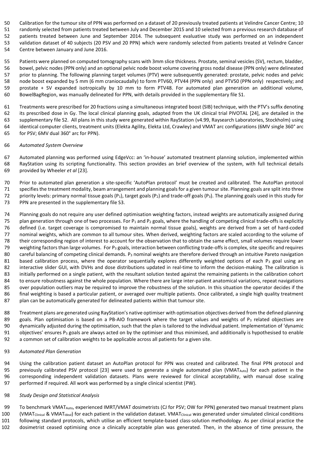Calibration for the tumour site of PPN was performed on a dataset of 20 previously treated patients at Velindre Cancer Centre; 10

 randomly selected from patients treated between July and December 2015 and 10 selected from a previous research database of patients treated between June and September 2014. The subsequent evaluative study was performed on an independent validation dataset of 40 subjects (20 PSV and 20 PPN) which were randomly selected from patients treated at Velindre Cancer Centre between January and June 2016.

 Patients were planned on computed tomography scans with 3mm slice thickness. Prostate, seminal vesicles (SV), rectum, bladder, bowel, pelvic nodes (PPN only) and an optional pelvic node boost volume covering gross nodal disease (PPN only) were delineated prior to planning. The following planning target volumes (PTV) were subsequently generated: prostate, pelvic nodes and pelvic node boost expanded by 5 mm (6 mm craniocaudally) to form PTV60, PTV44 (PPN only) and PTV50 (PPN only) respectively; and prostate + SV expanded isotropically by 10 mm to form PTV48. For automated plan generation an additional volume, BowelBagRegion, was manually delineated for PPN, with details provided in the supplementary file S1.

 Treatments were prescribed for 20 fractions using a simultaneous integrated boost (SIB) technique, with the PTV's suffix denoting its prescribed dose in Gy. The local clinical planning goals, adapted from the UK clinical trial PIVOTAL [24], are detailed in the supplementary file S2. All plans in this study were generated within RayStation (v4.99, Raysearch Laboratories, Stockholm) using identical computer clients, treatment units (Elekta Agility, Elekta Ltd, Crawley) and VMAT arc configurations (6MV single 360° arc for PSV; 6MV dual 360° arc for PPN).

## *Automated System Overview*

 Automated planning was performed using EdgeVcc: an 'in-house' automated treatment planning solution, implemented within RayStation using its scripting functionality. This section provides an brief overview of the system, with full technical details provided by Wheeler *et al* [23].

 Prior to automated plan generation a site-specific 'AutoPlan protocol' must be created and calibrated. The AutoPlan protocol specifies the treatment modality, beam arrangement and planning goals for a given tumour site. Planning goals are split into three 72 priority levels: primary normal tissue goals (P<sub>1</sub>), target goals (P<sub>2</sub>) and trade-off goals (P<sub>3</sub>). The planning goals used in this study for PPN are presented in the supplementary file S3.

 Planning goals do not require any user defined optimisation weighting factors, instead weights are automatically assigned during 75 plan generation through one of two processes. For  $P_1$  and  $P_2$  goals, where the handling of competing clinical trade-offs is explicitly defined (i.e. target coverage is compromised to maintain normal tissue goals), weights are derived from a set of hard-coded nominal weights, which are common to all tumour sites. When derived, weighting factors are scaled according to the volume of their corresponding region of interest to account for the observation that to obtain the same effect, small volumes require lower 79 weighting factors than large volumes. For  $P_3$  goals, interaction between conflicting trade-offs is complex, site specific and requires 80 careful balancing of competing clinical demands. P<sub>3</sub> nominal weights are therefore derived through an intuitive Pareto navigation 81 based calibration process, where the operator sequentially explores differently weighted options of each  $P_3$  goal using an 82 interactive slider GUI, with DVHs and dose distributions updated in real-time to inform the decision-making. The calibration is initially performed on a single patient, with the resultant solution tested against the remaining patients in the calibration cohort 84 to ensure robustness against the whole population. Where there are large inter-patient anatomical variations, repeat navigations 85 over population outliers may be required to improve the robustness of the solution. In this situation the operator decides if the final weighting is based a particular patient, or averaged over multiple patients. Once calibrated, a single high quality treatment plan can be automatically generated for delineated patients within that tumour site.

 Treatment plans are generated using RayStation's native optimiser with optimisation objectives derived from the defined planning 89 goals. Plan optimisation is based on a PB-AIO framework where the target values and weights of  $P_3$  related objectives are dynamically adjusted during the optimisation, such that the plan is tailored to the individual patient. Implementation of 'dynamic 91 objectives' ensures P<sub>3</sub> goals are always acted on by the optimiser and thus minimised, and additionally is hypothesised to enable a common set of calibration weights to be applicable across all patients for a given site.

## *Automated Plan Generation*

 Using the calibration patient dataset an AutoPlan protocol for PPN was created and calibrated. The final PPN protocol and 95 previously calibrated PSV protocol [23] were used to generate a single automated plan (VMAT<sub>Auto</sub>) for each patient in the corresponding independent validation datasets. Plans were reviewed for clinical acceptability, with manual dose scaling performed if required. All work was performed by a single clinical scientist (PW).

## *Study Design and Statistical Analysis*

 To benchmark VMATAuto, experienced IMRT/VMAT dosimetrists (CJ for PSV; OW for PPN) generated two manual treatment plans 100 (VMAT<sub>Clinical</sub> & VMAT<sub>Ideal</sub>) for each patient in the validation dataset. VMAT<sub>Clinical</sub> was generated under simulated clinical conditions

following standard protocols, which utilise an efficient template-based class-solution methodology. As per clinical practice the

dosimetrist ceased optimising once a clinically acceptable plan was generated. Then, in the absence of time pressure, the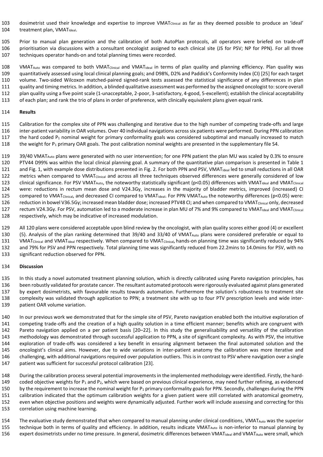103 dosimetrist used their knowledge and expertise to improve VMAT<sub>Clinical</sub> as far as they deemed possible to produce an 'ideal' 104 treatment plan, VMAT<sub>Ideal</sub>.

 Prior to manual plan generation and the calibration of both AutoPlan protocols, all operators were briefed on trade-off prioritisation via discussions with a consultant oncologist assigned to each clinical site (JS for PSV; NP for PPN). For all three techniques operator hands-on and total planning times were recorded.

108 VMAT<sub>Auto</sub> was compared to both VMAT<sub>Clinical</sub> and VMAT<sub>Ideal</sub> in terms of plan quality and planning efficiency. Plan quality was quantitatively assessed using local clinical planning goals; and D98%, D2% and Paddick's Conformity Index (CI) [25] for each target volume. Two-sided Wilcoxon matched-paired signed-rank tests assessed the statistical significance of any differences in plan quality and timing metrics. In addition, a blinded qualitative assessment was performed by the assigned oncologist to: score overall plan quality using a five point scale (1-unacceptable, 2-poor, 3-satisfactory, 4-good, 5-excellent); establish the clinical acceptability of each plan; and rank the trio of plans in order of preference, with clinically equivalent plans given equal rank.

## **Results**

 Calibration for the complex site of PPN was challenging and iterative due to the high number of competing trade-offs and large inter-patient variability in OAR volumes. Over 40 individual navigations across six patients were performed. During PPN calibration 117 the hard coded P<sub>1</sub> nominal weight for primary conformality goals was considered suboptimal and manually increased to match 118 the weight for P<sub>1</sub> primary OAR goals. The post calibration nominal weights are presented in the supplementary file S4.

 39/40 VMATAuto plans were generated with no user intervention; for one PPN patient the plan MU was scaled by 0.3% to ensure PTV44 D99% was within the local clinical planning goal. A summary of the quantitative plan comparison is presented in Table 1 121 and Fig. 1, with example dose distributions presented in Fig. 2. For both PPN and PSV, VMAT<sub>Ideal</sub> led to small reductions in all OAR 122 metrics when compared to VMAT<sub>Clinical</sub> and across all three techniques observed differences were generally considered of low 123 clinical significance. For PSV VMAT<sub>Auto</sub>, the noteworthy statistically significant ( $p<0.05$ ) differences with VMAT<sub>Ideal</sub> and VMAT<sub>Clinical</sub> were: reductions in rectum mean dose and V24.3Gy, increases in the majority of bladder metrics, improved (increased) CI 125 compared to VMAT<sub>Clinical</sub>, and decreased CI compared to VMAT<sub>Ideal</sub>. For PPN VMAT<sub>Auto</sub> the noteworthy differences (p<0.05) were: reduction in bowel V36.5Gy; increased mean bladder dose; increased PTV48 CI; and when compared to VMATClinical only, decreased 127 rectum V24.3Gy. For PSV, automation led to a moderate increase in plan MU of 7% and 9% compared to VMAT<sub>Ideal</sub> and VMAT<sub>Clinical</sub> respectively, which may be indicative of increased modulation.

 All 120 plans were considered acceptable upon blind review by the oncologist, with plan quality scores either good (4) or excellent (5). Analysis of the plan ranking determined that 39/40 and 33/40 of VMATAuto plans were considered preferable or equal to 131 VMAT<sub>Clinical</sub> and VMAT<sub>Ideal</sub> respectively. When compared to VMAT<sub>Clinical</sub>, hands-on planning time was significantly reduced by 94% and 79% for PSV and PPN respectively. Total planning time was significantly reduced from 22.2mins to 14.0mins for PSV, with no significant reduction observed for PPN.

## **Discussion**

 In this study a novel automated treatment planning solution, which is directly calibrated using Pareto navigation principles, has been robustly validated for prostate cancer. The resultant automated protocols were rigorously evaluated against plans generated by expert dosimetrists, with favourable results towards automation. Furthermore the solution's robustness to treatment site complexity was validated through application to PPN; a treatment site with up to four PTV prescription levels and wide inter-patient OAR volume variation.

 In our previous work we demonstrated that for the simple site of PSV, Pareto navigation enabled both the intuitive exploration of competing trade-offs and the creation of a high quality solution in a time efficient manner; benefits which are congruent with Pareto navigation applied on a per patient basis [20–22]. In this study the generalisability and versatility of the calibration methodology was demonstrated through successful application to PPN, a site of significant complexity. As with PSV, the intuitive exploration of trade-offs was considered a key benefit in ensuring alignment between the final automated solution and the oncologist's clinical aims. However, due to wide variations in inter-patient anatomy the calibration was more iterative and challenging, with additional navigations required over population outliers. This is in contrast to PSV where navigation over a single patient was sufficient for successful protocol calibration [23].

 During the calibration process several potential improvements in the implemented methodology were identified. Firstly, the hard-149 coded objective weights for  $P_1$  and  $P_2$ , which were based on previous clinical experience, may need further refining, as evidenced 150 by the requirement to increase the nominal weight for P<sub>1</sub> primary conformality goals for PPN. Secondly, challenges during the PPN calibration indicated that the optimum calibration weights for a given patient were still correlated with anatomical geometry, even when objective positions and weights were dynamically adjusted. Further work will include assessing and correcting for this correlation using machine learning.

154 The evaluative study demonstrated that when compared to manual planning under clinical conditions, VMAT<sub>Auto</sub> was the superior 155 technique both in terms of quality and efficiency. In addition, results indicate VMAT<sub>Auto</sub> is non-inferior to manual planning by 156 expert dosimetrists under no time pressure. In general, dosimetric differences between VMAT<sub>Ideal</sub> and VMAT<sub>Auto</sub> were small, which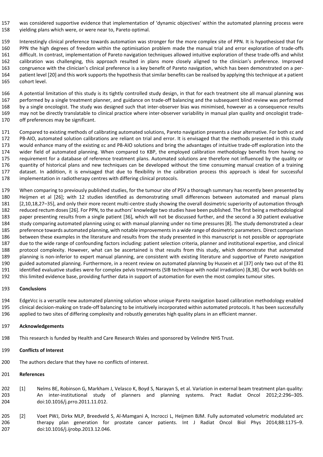was considered supportive evidence that implementation of 'dynamic objectives' within the automated planning process were yielding plans which were, or were near to, Pareto optimal.

 Interestingly clinical preference towards automation was stronger for the more complex site of PPN. It is hypothesised that for PPN the high degrees of freedom within the optimisation problem made the manual trial and error exploration of trade-offs difficult. In contrast, implementation of Pareto navigation techniques allowed intuitive exploration of these trade-offs and whilst calibration was challenging, this approach resulted in plans more closely aligned to the clinician's preference. Improved congruence with the clinician's clinical preference is a key benefit of Pareto navigation, which has been demonstrated on a per- patient level [20] and this work supports the hypothesis that similar benefits can be realised by applying this technique at a patient cohort level.

 A potential limitation of this study is its tightly controlled study design, in that for each treatment site all manual planning was performed by a single treatment planner, and guidance on trade-off balancing and the subsequent blind review was performed by a single oncologist. The study was designed such that inter-observer bias was minimised, however as a consequence results may not be directly translatable to clinical practice where inter-observer variability in manual plan quality and oncologist trade-off preferences may be significant.

 Compared to existing methods of calibrating automated solutions, Pareto navigation presents a clear alternative. For both εc and PB-AIO, automated solution calibrations are reliant on trial and error. It is envisaged that the methods presented in this study would enhance many of the existing εc and PB-AIO solutions and bring the advantages of intuitive trade-off exploration into the wider field of automated planning. When compared to KBP, the employed calibration methodology benefits from having no requirement for a database of reference treatment plans. Automated solutions are therefore not influenced by the quality or quantity of historical plans and new techniques can be developed without the time consuming manual creation of a training dataset. In addition, it is envisaged that due to flexibility in the calibration process this approach is ideal for successful implementation in radiotherapy centres with differing clinical protocols.

 When comparing to previously published studies, for the tumour site of PSV a thorough summary has recently been presented by Heijmen et al [26]; with 12 studies identified as demonstrating small differences between automated and manual plans [2,10,18,27–35], and only their more recent multi-centre study showing the overall dosimetric superiority of automation through reduced rectum doses [26]. For PPN, to the authors' knowledge two studies have been published. The first being a methodological paper presenting results from a single patient [36], which will not be discussed further, and the second a 30 patient evaluative study comparing automated planning using εc with manual planning under no time pressures [8]. The study demonstrated a clear preference towards automated planning, with notable improvements in a wide range of dosimetric parameters. Direct comparison between these examples in the literature and results from the study presented in this manuscript is not possible or appropriate due to the wide range of confounding factors including: patient selection criteria, planner and institutional expertise, and clinical protocol complexity. However, what can be ascertained is that results from this study, which demonstrate that automated planning is non-inferior to expert manual planning, are consistent with existing literature and supportive of Pareto navigation guided automated planning. Furthermore, in a recent review on automated planning by Hussein et al [37] only two out of the 81 identified evaluative studies were for complex pelvis treatments (SIB technique with nodal irradiation) [8,38]. Our work builds on this limited evidence base, providing further data in support of automation for even the most complex tumour sites.

## **Conclusions**

 EdgeVcc is a versatile new automated planning solution whose unique Pareto navigation based calibration methodology enabled clinical decision-making on trade-off balancing to be intuitively incorporated within automated protocols. It has been successfully applied to two sites of differing complexity and robustly generates high quality plans in an efficient manner.

## **Acknowledgements**

This research is funded by Health and Care Research Wales and sponsored by Velindre NHS Trust.

## **Conflicts of Interest**

The authors declare that they have no conflicts of interest.

#### **References**

 [1] Nelms BE, Robinson G, Markham J, Velasco K, Boyd S, Narayan S, et al. Variation in external beam treatment plan quality: An inter-institutional study of planners and planning systems. Pract Radiat Oncol 2012;2:296–305. doi:10.1016/j.prro.2011.11.012.

 [2] Voet PWJ, Dirkx MLP, Breedveld S, Al-Mamgani A, Incrocci L, Heijmen BJM. Fully automated volumetric modulated arc therapy plan generation for prostate cancer patients. Int J Radiat Oncol Biol Phys 2014;88:1175–9. doi:10.1016/j.ijrobp.2013.12.046.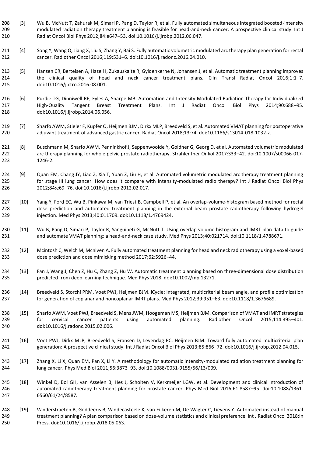- [3] Wu B, McNutt T, Zahurak M, Simari P, Pang D, Taylor R, et al. Fully automated simultaneous integrated boosted-intensity modulated radiation therapy treatment planning is feasible for head-and-neck cancer: A prospective clinical study. Int J Radiat Oncol Biol Phys 2012;84:e647–53. doi:10.1016/j.ijrobp.2012.06.047.
- 211 [4] Song Y, Wang Q, Jiang X, Liu S, Zhang Y, Bai S. Fully automatic volumetric modulated arc therapy plan generation for rectal cancer. Radiother Oncol 2016;119:531–6. doi:10.1016/j.radonc.2016.04.010.
- [5] Hansen CR, Bertelsen A, Hazell I, Zukauskaite R, Gyldenkerne N, Johansen J, et al. Automatic treatment planning improves the clinical quality of head and neck cancer treatment plans. Clin Transl Radiat Oncol 2016;1:1–7. doi:10.1016/j.ctro.2016.08.001.
- [6] Purdie TG, Dinniwell RE, Fyles A, Sharpe MB. Automation and Intensity Modulated Radiation Therapy for Individualized High-Quality Tangent Breast Treatment Plans. Int J Radiat Oncol Biol Phys 2014;90:688–95. doi:10.1016/j.ijrobp.2014.06.056.
- [7] Sharfo AWM, Stieler F, Kupfer O, Heijmen BJM, Dirkx MLP, Breedveld S, et al. Automated VMAT planning for postoperative adjuvant treatment of advanced gastric cancer. Radiat Oncol 2018;13:74. doi:10.1186/s13014-018-1032-z.
- [8] Buschmann M, Sharfo AWM, Penninkhof J, Seppenwoolde Y, Goldner G, Georg D, et al. Automated volumetric modulated arc therapy planning for whole pelvic prostate radiotherapy. Strahlenther Onkol 2017:333–42. doi:10.1007/s00066-017- 1246-2.
- [9] Quan EM, Chang JY, Liao Z, Xia T, Yuan Z, Liu H, et al. Automated volumetric modulated arc therapy treatment planning for stage III lung cancer: How does it compare with intensity-modulated radio therapy? Int J Radiat Oncol Biol Phys 2012;84:e69–76. doi:10.1016/j.ijrobp.2012.02.017.
- [10] Yang Y, Ford EC, Wu B, Pinkawa M, van Triest B, Campbell P, et al. An overlap-volume-histogram based method for rectal dose prediction and automated treatment planning in the external beam prostate radiotherapy following hydrogel injection. Med Phys 2013;40:011709. doi:10.1118/1.4769424.
- [11] Wu B, Pang D, Simari P, Taylor R, Sanguineti G, McNutt T. Using overlap volume histogram and IMRT plan data to guide and automate VMAT planning: a head-and-neck case study. Med Phys 2013;40:021714. doi:10.1118/1.4788671.
- [12] Mcintosh C, Welch M, Mcniven A. Fully automated treatment planning for head and neck radiotherapy using a voxel-based dose prediction and dose mimicking method 2017;62:5926–44.
- [13] Fan J, Wang J, Chen Z, Hu C, Zhang Z, Hu W. Automatic treatment planning based on three-dimensional dose distribution predicted from deep learning technique. Med Phys 2018. doi:10.1002/mp.13271.
- [14] Breedveld S, Storchi PRM, Voet PWJ, Heijmen BJM. iCycle: Integrated, multicriterial beam angle, and profile optimization for generation of coplanar and noncoplanar IMRT plans. Med Phys 2012;39:951–63. doi:10.1118/1.3676689.
- [15] Sharfo AWM, Voet PWJ, Breedveld S, Mens JWM, Hoogeman MS, Heijmen BJM. Comparison of VMAT and IMRT strategies for cervical cancer patients using automated planning. Radiother Oncol 2015;114:395–401. doi:10.1016/j.radonc.2015.02.006.
- [16] Voet PWJ, Dirkx MLP, Breedveld S, Fransen D, Levendag PC, Heijmen BJM. Toward fully automated multicriterial plan generation: A prospective clinical study. Int J Radiat Oncol Biol Phys 2013;85:866–72. doi:10.1016/j.ijrobp.2012.04.015.
- [17] Zhang X, Li X, Quan EM, Pan X, Li Y. A methodology for automatic intensity-modulated radiation treatment planning for lung cancer. Phys Med Biol 2011;56:3873–93. doi:10.1088/0031-9155/56/13/009.
- [18] Winkel D, Bol GH, van Asselen B, Hes J, Scholten V, Kerkmeijer LGW, et al. Development and clinical introduction of automated radiotherapy treatment planning for prostate cancer. Phys Med Biol 2016;61:8587–95. doi:10.1088/1361- 6560/61/24/8587.
- [19] Vanderstraeten B, Goddeeris B, Vandecasteele K, van Eijkeren M, De Wagter C, Lievens Y. Automated instead of manual treatment planning? A plan comparison based on dose-volume statistics and clinical preference. Int J Radiat Oncol 2018;In Press. doi:10.1016/j.ijrobp.2018.05.063.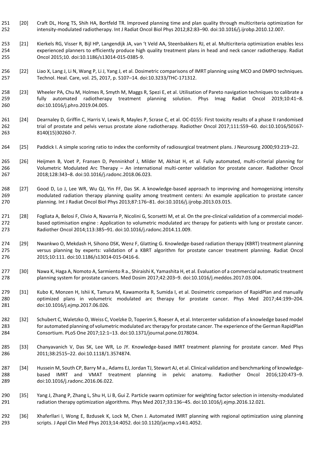- [20] Craft DL, Hong TS, Shih HA, Bortfeld TR. Improved planning time and plan quality through multicriteria optimization for intensity-modulated radiotherapy. Int J Radiat Oncol Biol Phys 2012;82:83–90. doi:10.1016/j.ijrobp.2010.12.007.
- [21] Kierkels RG, Visser R, Bijl HP, Langendijk JA, van 't Veld AA, Steenbakkers RJ, et al. Multicriteria optimization enables less experienced planners to efficiently produce high quality treatment plans in head and neck cancer radiotherapy. Radiat Oncol 2015;10. doi:10.1186/s13014-015-0385-9.
- [22] Liao X, Lang J, Li N, Wang P, Li J, Yang J, et al. Dosimetric comparisons of IMRT planning using MCO and DMPO techniques. Technol. Heal. Care, vol. 25, 2017, p. S107–14. doi:10.3233/THC-171312.
- [23] Wheeler PA, Chu M, Holmes R, Smyth M, Maggs R, Spezi E, et al. Utilisation of Pareto navigation techniques to calibrate a fully automated radiotherapy treatment planning solution. Phys Imag Radiat Oncol 2019;10:41–8. doi:10.1016/j.phro.2019.04.005.
- [24] Dearnaley D, Griffin C, Harris V, Lewis R, Mayles P, Scrase C, et al. OC-0155: First toxicity results of a phase II randomised trial of prostate and pelvis versus prostate alone radiotherapy. Radiother Oncol 2017;111:S59–60. doi:10.1016/S0167- 8140(15)30260-7.
- [25] Paddick I. A simple scoring ratio to index the conformity of radiosurgical treatment plans. J Neurosurg 2000;93:219–22.
- [26] Heijmen B, Voet P, Fransen D, Penninkhof J, Milder M, Akhiat H, et al. Fully automated, multi-criterial planning for Volumetric Modulated Arc Therapy – An international multi-center validation for prostate cancer. Radiother Oncol 2018;128:343–8. doi:10.1016/j.radonc.2018.06.023.
- [27] Good D, Lo J, Lee WR, Wu QJ, Yin FF, Das SK. A knowledge-based approach to improving and homogenizing intensity modulated radiation therapy planning quality among treatment centers: An example application to prostate cancer planning. Int J Radiat Oncol Biol Phys 2013;87:176–81. doi:10.1016/j.ijrobp.2013.03.015.
- [28] Fogliata A, Belosi F, Clivio A, Navarria P, Nicolini G, Scorsetti M, et al. On the pre-clinical validation of a commercial model- based optimisation engine : Application to volumetric modulated arc therapy for patients with lung or prostate cancer. Radiother Oncol 2014;113:385–91. doi:10.1016/j.radonc.2014.11.009.
- [29] Nwankwo O, Mekdash H, Sihono DSK, Wenz F, Glatting G. Knowledge-based radiation therapy (KBRT) treatment planning versus planning by experts: validation of a KBRT algorithm for prostate cancer treatment planning. Radiat Oncol 2015;10:111. doi:10.1186/s13014-015-0416-6.
- [30] Nawa K, Haga A, Nomoto A, Sarmiento R a., Shiraishi K, Yamashita H, et al. Evaluation of a commercial automatic treatment planning system for prostate cancers. Med Dosim 2017;42:203–9. doi:10.1016/j.meddos.2017.03.004.
- [31] Kubo K, Monzen H, Ishii K, Tamura M, Kawamorita R, Sumida I, et al. Dosimetric comparison of RapidPlan and manually optimized plans in volumetric modulated arc therapy for prostate cancer. Phys Med 2017;44:199–204. doi:10.1016/j.ejmp.2017.06.026.
- [32] Schubert C, Waletzko O, Weiss C, Voelzke D, Toperim S, Roeser A, et al. Intercenter validation of a knowledge based model for automated planning of volumetric modulated arc therapy for prostate cancer. The experience of the German RapidPlan Consortium. PLoS One 2017;12:1–13. doi:10.1371/journal.pone.0178034.
- [33] Chanyavanich V, Das SK, Lee WR, Lo JY. Knowledge-based IMRT treatment planning for prostate cancer. Med Phys 2011;38:2515–22. doi:10.1118/1.3574874.
- [34] Hussein M, South CP, Barry M a., Adams EJ, Jordan TJ, Stewart AJ, et al. Clinical validation and benchmarking of knowledge- based IMRT and VMAT treatment planning in pelvic anatomy. Radiother Oncol 2016;120:473–9. doi:10.1016/j.radonc.2016.06.022.
- [35] Yang J, Zhang P, Zhang L, Shu H, Li B, Gui Z. Particle swarm optimizer for weighting factor selection in intensity-modulated radiation therapy optimization algorithms. Phys Med 2017;33:136–45. doi:10.1016/j.ejmp.2016.12.021.
- [36] Xhaferllari I, Wong E, Bzdusek K, Lock M, Chen J. Automated IMRT planning with regional optimization using planning scripts. J Appl Clin Med Phys 2013;14:4052. doi:10.1120/jacmp.v14i1.4052.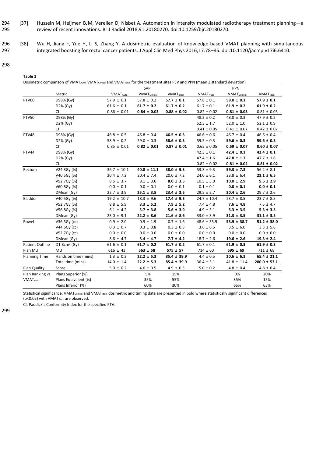- 294 [37] Hussein M, Heijmen BJM, Verellen D, Nisbet A. Automation in intensity modulated radiotherapy treatment planning—a 295 review of recent innovations. Br J Radiol 2018;91:20180270. doi:10.1259/bjr.20180270.
- 296 [38] Wu H, Jiang F, Yue H, Li S, Zhang Y. A dosimetric evaluation of knowledge-based VMAT planning with simultaneous 297 integrated boosting for rectal cancer patients. J Appl Clin Med Phys 2016;17:78–85. doi:10.1120/jacmp.v17i6.6410.
- 298

| Table 1                    |                                                                                                                                                                    |                            |                      |                              |                            |                      |                              |
|----------------------------|--------------------------------------------------------------------------------------------------------------------------------------------------------------------|----------------------------|----------------------|------------------------------|----------------------------|----------------------|------------------------------|
|                            | Dosimetric comparison of VMAT <sub>Auto</sub> , VMAT <sub>Clinical</sub> and VMAT <sub>Ideal</sub> for the treatment sites PSV and PPN (mean ± standard deviation) |                            |                      |                              |                            |                      |                              |
|                            |                                                                                                                                                                    |                            | SVP                  |                              |                            | PPN                  |                              |
|                            | Metric                                                                                                                                                             | <b>VMAT<sub>Auto</sub></b> | <b>VMAT</b> Clinical | <b>VMAT</b> <sub>Ideal</sub> | <b>VMAT<sub>Auto</sub></b> | <b>VMAT</b> Clinical | <b>VMAT</b> <sub>Ideal</sub> |
| <b>PTV60</b>               | D98% (Gy)                                                                                                                                                          | $57.9 \pm 0.1$             | $57.8 \pm 0.2$       | $57.7 \pm 0.1$               | $57.8 \pm 0.1$             | $58.0 \pm 0.1$       | $57.9 \pm 0.1$               |
|                            | D2% (Gy)                                                                                                                                                           | $61.6 \pm 0.1$             | $61.7 \pm 0.2$       | $61.7 \pm 0.2$               | $61.7 \pm 0.1$             | $61.9 \pm 0.2$       | $61.9 \pm 0.2$               |
|                            | CI                                                                                                                                                                 | $0.86 \pm 0.01$            | $0.84 \pm 0.03$      | $0.88 \pm 0.02$              | $0.82 \pm 0.02$            | $0.81 \pm 0.03$      | $0.81 \pm 0.03$              |
| <b>PTV50</b>               | D98% (Gy)                                                                                                                                                          |                            |                      |                              | $48.2 \pm 0.2$             | $48.0 \pm 0.3$       | $47.9 \pm 0.2$               |
|                            | D2% (Gy)                                                                                                                                                           |                            |                      |                              | $52.3 \pm 1.7$             | $52.0 \pm 1.0$       | $52.1 \pm 0.9$               |
|                            | СI                                                                                                                                                                 |                            |                      |                              | $0.41 \pm 0.05$            | $0.41 \pm 0.07$      | $0.42 \pm 0.07$              |
| PTV48                      | D98% (Gy)                                                                                                                                                          | $46.8 \pm 0.5$             | $46.8 \pm 0.4$       | $46.5 \pm 0.3$               | $46.6 \pm 0.6$             | $46.7 \pm 0.4$       | $46.6 \pm 0.4$               |
|                            | D2% (Gy)                                                                                                                                                           | $58.9 \pm 0.2$             | $59.0 \pm 0.3$       | $58.6 \pm 0.3$               | $59.5 \pm 0.3$             | $59.6 \pm 0.3$       | $59.6 \pm 0.3$               |
|                            | CI                                                                                                                                                                 | $0.85 \pm 0.01$            | $0.82 \pm 0.01$      | $0.87 \pm 0.01$              | $0.65 \pm 0.05$            | $0.59 \pm 0.07$      | $0.60 \pm 0.07$              |
| PTV44                      | D98% (Gy)                                                                                                                                                          |                            |                      |                              | $42.3 \pm 0.1$             | $42.4 \pm 0.1$       | $42.4 \pm 0.1$               |
|                            | D2% (Gy)                                                                                                                                                           |                            |                      |                              | $47.4 \pm 1.6$             | $47.8 \pm 1.7$       | $47.7 \pm 1.8$               |
|                            | CI                                                                                                                                                                 |                            |                      |                              | $0.82\,\pm\,0.02$          | $0.81 \pm 0.02$      | $0.81 \pm 0.02$              |
| Rectum                     | V24.3Gy (%)                                                                                                                                                        | $36.7 \pm 10.1$            | $40.8 \pm 11.1$      | $38.0 \pm 9.3$               | $53.3 \pm 9.3$             | $59.3 \pm 7.3$       | $56.2 \pm 8.1$               |
|                            | V40.5Gy (%)                                                                                                                                                        | $20.4 \pm 7.2$             | $20.4 \pm 7.4$       | $20.0 \pm 7.2$               | $24.0 \pm 6.1$             | $23.8 \pm 6.4$       | $23.1 \pm 6.5$               |
|                            | V52.7Gy (%)                                                                                                                                                        | $8.5 \pm 3.7$              | $8.1 \pm 3.6$        | $8.0 \pm 3.5$                | $10.5 \pm 3.0$             | $10.0 \pm 2.9$       | $9.6 \pm 2.9$                |
|                            | V60.8Gy (%)                                                                                                                                                        | $0.0 \pm 0.1$              | $0.0 \pm 0.1$        | $0.0 \pm 0.1$                | $0.1 \pm 0.1$              | $0.0 \pm 0.1$        | $0.0 \pm 0.1$                |
|                            | DMean (Gy)                                                                                                                                                         | $22.7 \pm 3.9$             | $25.1 \pm 3.5$       | $23.4 \pm 3.5$               | $29.5 \pm 2.7$             | $30.4 \pm 2.6$       | $29.7 \pm 2.6$               |
| Bladder                    | V40.5Gy (%)                                                                                                                                                        | $19.2 \pm 10.7$            | $18.3 \pm 9.6$       | $17.4 \pm 9.5$               | $24.7 \pm 10.4$            | $23.7 \pm 8.5$       | $23.7 \pm 8.5$               |
|                            | V52.7Gy (%)                                                                                                                                                        | $8.8 \pm 5.9$              | $8.3 \pm 5.2$        | $7.9 \pm 5.2$                | $7.4 \pm 4.8$              | $7.6 \pm 4.8$        | $7.5 \pm 4.7$                |
|                            | V56.8Gy (%)                                                                                                                                                        | $6.1 \pm 4.2$              | $5.7 \pm 3.8$        | $5.6 \pm 3.9$                | $4.9 \pm 3.1$              | $5.3 \pm 3.5$        | $5.3 \pm 3.5$                |
|                            | DMean (Gy)                                                                                                                                                         | $23.0 \pm 9.1$             | $22.2 \pm 8.6$       | $21.6 \pm 8.6$               | $33.0 \pm 3.9$             | $31.3 \pm 3.5$       | $31.1 \pm 3.5$               |
| Bowel                      | $V36.5Gy$ (cc)                                                                                                                                                     | $0.9 \pm 2.0$              | $0.9 \pm 1.9$        | $0.7 \pm 1.6$                | $48.6 \pm 35.9$            | $53.9 \pm 38.7$      | $51.2 \pm 38.0$              |
|                            | V44.6Gy (cc)                                                                                                                                                       | $0.3 \pm 0.7$              | $0.3 \pm 0.8$        | $0.3 \pm 0.8$                | $3.6 \pm 6.5$              | $3.5 \pm 6.0$        | $3.3 \pm 5.6$                |
|                            | V52.7Gy (cc)                                                                                                                                                       | $0.0 \pm 0.0$              | $0.0 \pm 0.0$        | $0.0 \pm 0.0$                | $0.0 \pm 0.0$              | $0.0~\pm~0.0$        | $0.0 \pm 0.0$                |
|                            | DMean (Gy)                                                                                                                                                         | $8.6 \pm 4.7$              | $8.4 \pm 4.7$        | $7.7 \pm 4.2$                | $18.7 \pm 2.6$             | $19.6 \pm 2.6$       | $19.3 \pm 2.4$               |
| <b>Patient Outline</b>     | $D1.8cm3$ (Gy)                                                                                                                                                     | $61.6 \pm 0.1$             | $61.7 \pm 0.2$       | $61.7 \pm 0.2$               | $61.7 \pm 0.1$             | $61.9 \pm 0.3$       | $61.9 \pm 0.3$               |
| Plan MU                    | MU                                                                                                                                                                 | $616 \pm 43$               | $563 \pm 58$         | $575 \pm 57$                 | $714 \pm 60$               | $695 \pm 69$         | $711 \pm 68$                 |
| <b>Planning Time</b>       | Hands on time (mins)                                                                                                                                               | $1.3 \pm 0.3$              | $22.2 \pm 5.3$       | $85.4 \pm 39.9$              | $4.4 \pm 0.5$              | $20.6 \pm 6.3$       | $65.4 \pm 21.1$              |
|                            | Total time (mins)                                                                                                                                                  | $14.0 \pm 1.4$             | $22.2 \pm 5.3$       | $85.4 \pm 39.9$              | $36.4 \pm 3.1$             | $41.8 \pm 11.4$      | $200.0 \pm 53.1$             |
| Plan Quality               | Score                                                                                                                                                              | $5.0 \pm 0.2$              | $4.6 \pm 0.5$        | $4.9 \pm 0.3$                | $5.0 \pm 0.2$              | $4.8 \pm 0.4$        | $4.8 \pm 0.4$                |
| Plan Ranking vs            | Plans Superior (%)                                                                                                                                                 |                            | 5%                   | 15%                          |                            | 0%                   | 20%                          |
| <b>VMAT<sub>Auto</sub></b> | Plans Equivalent (%)                                                                                                                                               |                            | 35%                  | 55%                          |                            | 35%                  | 15%                          |
|                            | Plans Inferior (%)                                                                                                                                                 |                            | 60%                  | 30%                          |                            | 65%                  | 65%                          |

Statistical significance: VMAT<sub>Clinical</sub> and VMAT<sub>Ideal</sub> dosimetric and timing data are presented in bold where statistically significant differences (p<0.05) with VMAT<sub>Auto</sub> are observed.

CI: Paddick's Conformity Index for the specified PTV.